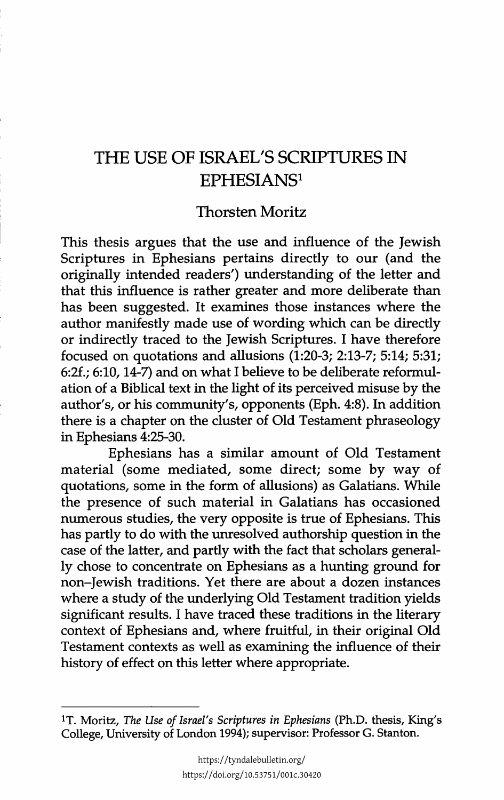## THE USE OF ISRAEL'S SCRIPTURES IN EPHESIANS1

## Thorsten Moritz

This thesis argues that the use and influence of the Jewish Scriptures in Ephesians pertains directly to our (and the originally intended readers') understanding of the letter and that this influence is rather greater and more deliberate than has been suggested. It examines those instances where the author manifestly made use of wording which can be directly or indirectly traced to the Jewish Scriptures. I have therefore focused on quotations and allusions  $(1:20-3; 2:13-7; 5:14; 5:31;$ 6:2£.; 6:10, 14-7) and on what I believe to be deliberate reformulation of a Biblical text in the light of its perceived misuse by the author's, or his community's, opponents (Eph. 4:8). In addition there is a chapter on the cluster of Old Testament phraseology in Ephesians 4:25-30.

Ephesians has a similar amount of Old Testament material (some mediated, some direct; some by way of quotations, some in the form of allusions) as Galatians. While the presence of such material in Galatians has occasioned numerous studies, the very opposite is true of Ephesians. This has partly to do with the unresolved authorship question in the case of the latter, and partly with the fact that scholars generally chose to concentrate on Ephesians as a hunting ground for non-Jewish traditions. Yet there are about a dozen instances where a study of the underlying Old Testament tradition yields significant results. I have traced these traditions in the literary context of Ephesians and, where fruitful, in their original Old Testament contexts as well as examining the influence of their history of effect on this letter where appropriate.

lT. Moritz, *The Use of Israel's Scriptures in Ephesians* (Ph.D. thesis, King's College, University of London 1994); supervisor: Professor G. Stanton.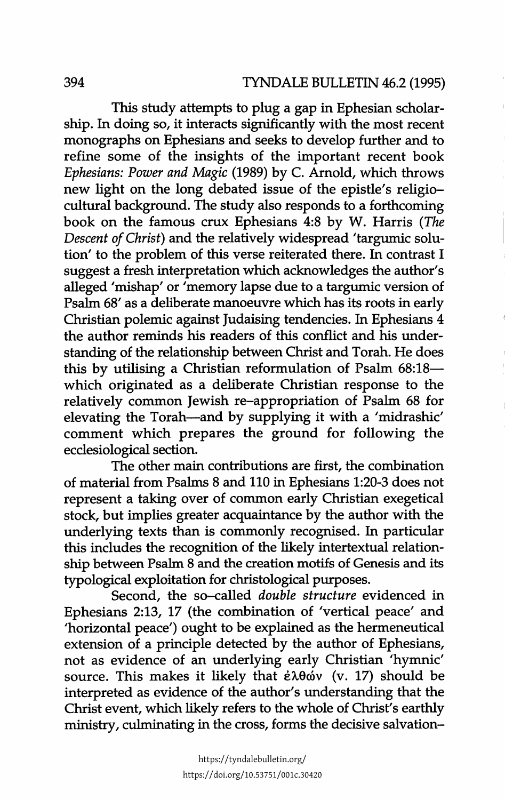This study attempts to plug a gap in Ephesian scholarship. In doing so, it interacts significantly with the most recent monographs on Ephesians and seeks to develop further and to refine some of the insights of the important recent book *Ephesians: Power and Magic* (1989) by C. Arnold, which throws new light on the long debated issue of the epistle's religiocultural background. The study also responds to a forthcoming book on the famous crux Ephesians 4:8 by W. Harris *(The Descent of Christ)* and the relatively widespread 'targumic solution' to the problem of this verse reiterated there. In contrast I suggest a fresh interpretation which acknowledges the author's alleged 'mishap' or 'memory lapse due to a targumic version of Psalm 68' as a deliberate manoeuvre which has its roots in early Christian polemic against Judaising tendencies. In Ephesians 4 the author reminds his readers of this conflict and his understanding of the relationship between Christ and Torah. He does this by utilising a Christian reformulation of Psalm 68:18which originated as a deliberate Christian response to the relatively common Jewish re-appropriation of Psalm 68 for elevating the Torah-and by supplying it with a 'midrashic' comment which prepares the ground for following the ecclesiological section.

The other main contributions are first, the combination of material from Psalms 8 and 110 in Ephesians 1:20-3 does not represent a taking over of common early Christian exegetical stock, but implies greater acquaintance by the author with the underlying texts than is commonly recognised. In particular this includes the recognition of the likely intertextual relationship between Psalm 8 and the creation motifs of Genesis and its typological exploitation for christological purposes.

Second, the so-called *double structure* evidenced in Ephesians 2:13, 17 (the combination of 'vertical peace' and 'horizontal peace') ought to be explained as the hermeneutical extension of a principle detected by the author of Ephesians, not as evidence of an underlying early Christian 'hymnic' source. This makes it likely that  $\epsilon \lambda \theta \dot{\omega}$  (v. 17) should be interpreted as evidence of the author's understanding that the Christ event, which likely refers to the whole of Christ's earthly ministry, culminating in the cross, forms the decisive salvation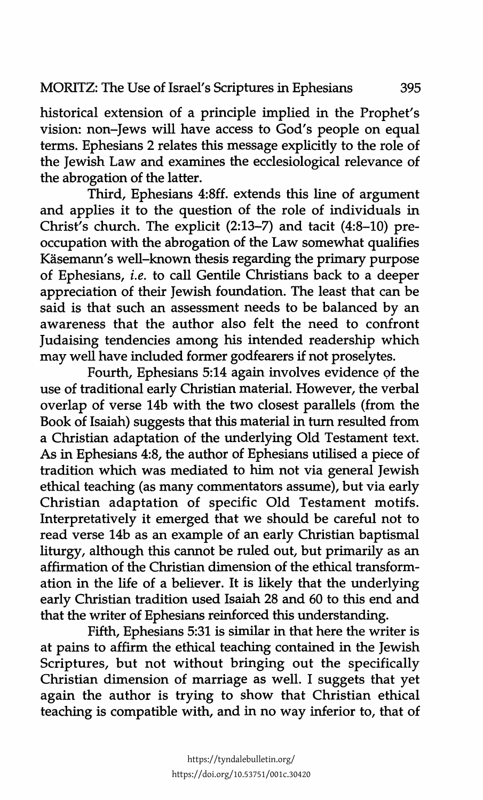historical extension of a principle implied in the Prophet's vision: non-Jews will have access to God's people on equal terms. Ephesians 2 relates this message explicitly to the role of the Jewish Law and examines the ecclesiological relevance of the abrogation of the latter.

Third, Ephesians 4:8ff. extends this line of argument and applies it to the question of the role of individuals in Christ's church. The explicit (2:13-7) and tacit (4:8-10) preoccupation with the abrogation of the Law somewhat qualifies Käsemann's well-known thesis regarding the primary purpose of Ephesians, *i.e.* to call Gentile Christians back to a deeper appreciation of their Jewish foundation. The least that can be said is that such an assessment needs to be balanced by an awareness that the author also felt the need to confront Judaising tendencies among his intended readership which may well have included former godfearers if not proselytes.

Fourth, Ephesians 5:14 again involves evidence of the use of traditional early Christian material. However, the verbal overlap of verse 14b with the two closest parallels (from the Book of Isaiah) suggests that this material in turn resulted from a Christian adaptation of the underlying Old Testament text. As in Ephesians 4:8, the author of Ephesians utilised a piece of tradition which was mediated to him not via general Jewish ethical teaching (as many commentators assume), but via early Christian adaptation of specific Old Testament motifs. Interpretatively it emerged that we should be careful not to read verse 14b as an example of an early Christian baptismal liturgy, although this cannot be ruled out, but primarily as an affirmation of the Christian dimension of the ethical transformation in the life of a believer. It is likely that the underlying early Christian tradition used Isaiah 28 and 60 to this end and that the writer of Ephesians reinforced this understanding.

Fifth, Ephesians 5:31 is similar in that here the writer is at pains to affirm the ethical teaching contained in the Jewish Scriptures, but not without bringing out the specifically Christian dimension of marriage as well. I suggets that yet again the author is trying to show that Christian ethical teaching is compatible with, and in no way inferior to, that of